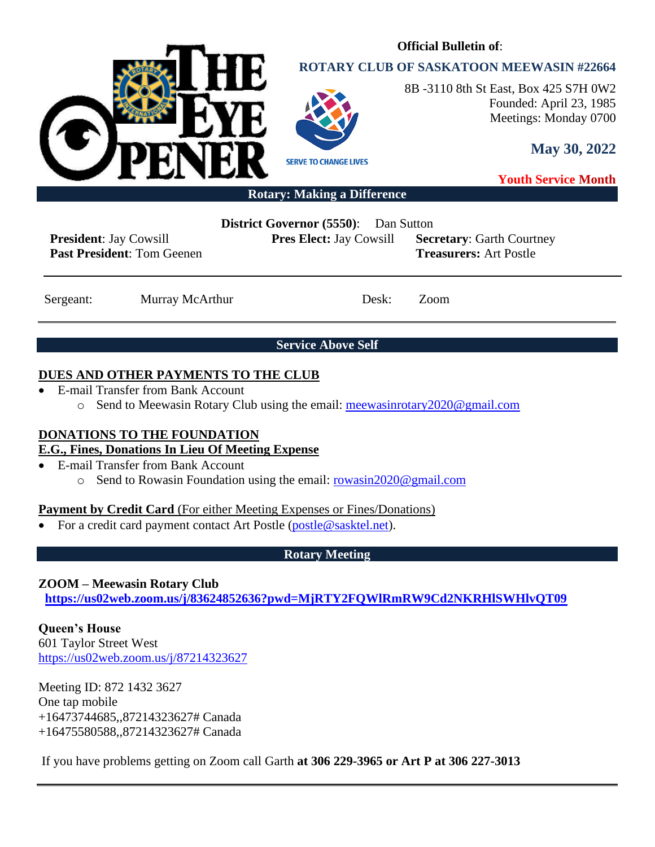

## **ROTARY CLUB OF SASKATOON MEEWASIN #22664**

**Official Bulletin of**:



8B -3110 8th St East, Box 425 S7H 0W2 Founded: April 23, 1985 Meetings: Monday 0700

**May 30, 2022**

**Youth Service Month**

#### **Rotary: Making a Difference**

**President**: Jay Cowsill **Past President**: Tom Geenen **District Governor (5550)**: Dan Sutton

**Pres Elect:** Jay Cowsill **Secretary**: Garth Courtney

**Treasurers:** Art Postle

Sergeant: Murray McArthur Desk: Zoom

**Service Above Self**

#### **DUES AND OTHER PAYMENTS TO THE CLUB**

- E-mail Transfer from Bank Account
	- o Send to Meewasin Rotary Club using the email: [meewasinrotary2020@gmail.com](mailto:meewasinrotary2020@gmail.com)

### **DONATIONS TO THE FOUNDATION**

#### **E.G., Fines, Donations In Lieu Of Meeting Expense**

- E-mail Transfer from Bank Account
	- o Send to Rowasin Foundation using the email: [rowasin2020@gmail.com](mailto:rowasin2020@gmail.com)

#### **Payment by Credit Card** (For either Meeting Expenses or Fines/Donations)

• For a credit card payment contact Art Postle [\(postle@sasktel.net\)](mailto:postle@sasktel.net).

### **Rotary Meeting**

### **ZOOM – Meewasin Rotary Club**

**[https://us02web.zoom.us/j/83624852636?pwd=MjRTY2FQWlRmRW9Cd2NKRHlSWHlvQT09](https://can01.safelinks.protection.outlook.com/?url=https%3A%2F%2Fus02web.zoom.us%2Fj%2F83624852636%3Fpwd%3DMjRTY2FQWlRmRW9Cd2NKRHlSWHlvQT09&data=04%7C01%7Ccpanko%40commonsenselawyer.com%7Ced41e005c3ab452d217408d8c53a6695%7C652c50d160e04e60a9982b6be68ca4a0%7C0%7C0%7C637476201917572504%7CUnknown%7CTWFpbGZsb3d8eyJWIjoiMC4wLjAwMDAiLCJQIjoiV2luMzIiLCJBTiI6Ik1haWwiLCJXVCI6Mn0%3D%7C3000&sdata=%2BasZ3EBpOHW4P4lXdj%2FC8%2FI8sU%2F5jZjAxSca541DwMc%3D&reserved=0)**

**Queen's House** 601 Taylor Street West <https://us02web.zoom.us/j/87214323627>

Meeting ID: 872 1432 3627 One tap mobile +16473744685,,87214323627# Canada +16475580588,,87214323627# Canada

If you have problems getting on Zoom call Garth **at 306 229-3965 or Art P at 306 227-3013**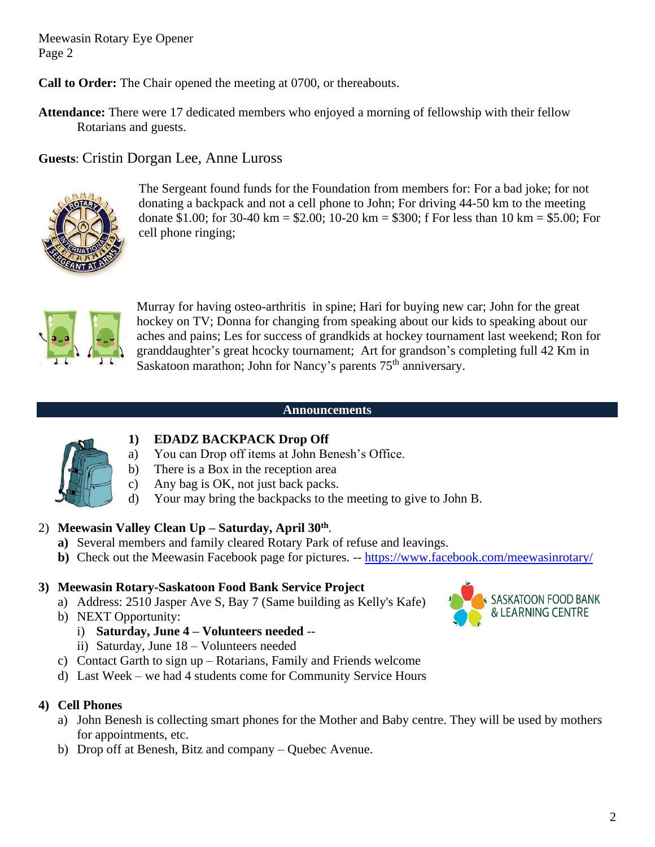**Call to Order:** The Chair opened the meeting at 0700, or thereabouts.

**Attendance:** There were 17 dedicated members who enjoyed a morning of fellowship with their fellow Rotarians and guests.

**Guests**: Cristin Dorgan Lee, Anne Luross



The Sergeant found funds for the Foundation from members for: For a bad joke; for not donating a backpack and not a cell phone to John; For driving 44-50 km to the meeting donate \$1.00; for 30-40 km = \$2.00; 10-20 km = \$300; f For less than 10 km = \$5.00; For cell phone ringing;



Murray for having osteo-arthritis in spine; Hari for buying new car; John for the great hockey on TV; Donna for changing from speaking about our kids to speaking about our aches and pains; Les for success of grandkids at hockey tournament last weekend; Ron for granddaughter's great hcocky tournament; Art for grandson's completing full 42 Km in Saskatoon marathon; John for Nancy's parents  $75<sup>th</sup>$  anniversary.

#### **Announcements**



### **1) EDADZ BACKPACK Drop Off**

- a) You can Drop off items at John Benesh's Office.
- b) There is a Box in the reception area
- c) Any bag is OK, not just back packs.
- d) Your may bring the backpacks to the meeting to give to John B.

### 2) **Meewasin Valley Clean Up – Saturday, April 30th** .

- **a)** Several members and family cleared Rotary Park of refuse and leavings.
- **b**) Check out the Meewasin Facebook page for pictures. -- <https://www.facebook.com/meewasinrotary/>

#### **3) Meewasin Rotary-Saskatoon Food Bank Service Project**

- a) Address: 2510 Jasper Ave S, Bay 7 (Same building as Kelly's Kafe)
- b) NEXT Opportunity:
	- i) **Saturday, June 4 – Volunteers needed** --
	- ii) Saturday, June 18 Volunteers needed
- c) Contact Garth to sign up Rotarians, Family and Friends welcome
- d) Last Week we had 4 students come for Community Service Hours

#### **4) Cell Phones**

- a) John Benesh is collecting smart phones for the Mother and Baby centre. They will be used by mothers for appointments, etc.
- b) Drop off at Benesh, Bitz and company Quebec Avenue.

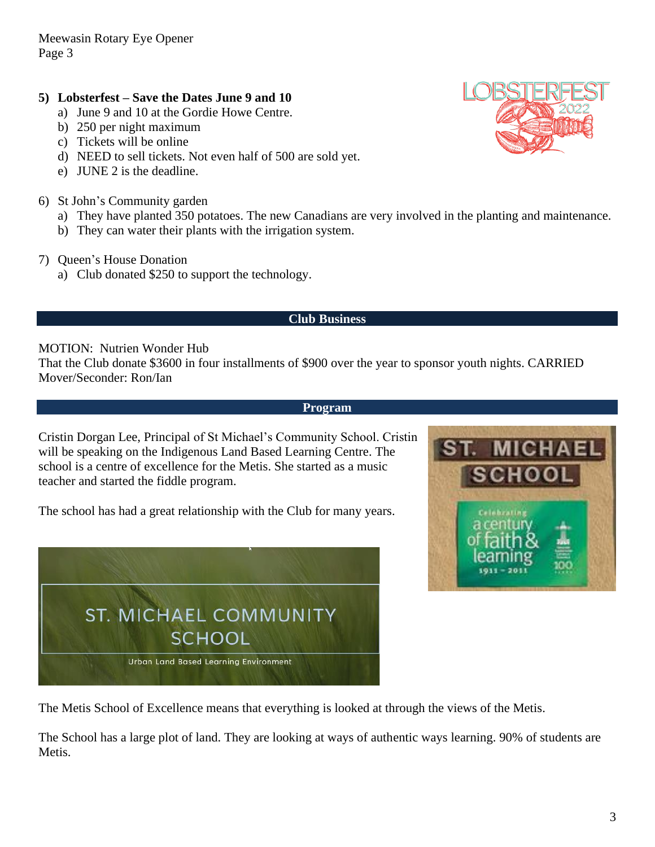#### **5) Lobsterfest – Save the Dates June 9 and 10**

- a) June 9 and 10 at the Gordie Howe Centre.
- b) 250 per night maximum
- c) Tickets will be online
- d) NEED to sell tickets. Not even half of 500 are sold yet.
- e) JUNE 2 is the deadline.
- 6) St John's Community garden
	- a) They have planted 350 potatoes. The new Canadians are very involved in the planting and maintenance.
	- b) They can water their plants with the irrigation system.
- 7) Queen's House Donation
	- a) Club donated \$250 to support the technology.

#### **Club Business**

#### MOTION: Nutrien Wonder Hub

That the Club donate \$3600 in four installments of \$900 over the year to sponsor youth nights. CARRIED Mover/Seconder: Ron/Ian

#### **Program**

Cristin Dorgan Lee, Principal of St Michael's Community School. Cristin will be speaking on the Indigenous Land Based Learning Centre. The school is a centre of excellence for the Metis. She started as a music teacher and started the fiddle program.

The school has had a great relationship with the Club for many years.





The Metis School of Excellence means that everything is looked at through the views of the Metis.

The School has a large plot of land. They are looking at ways of authentic ways learning. 90% of students are Metis.

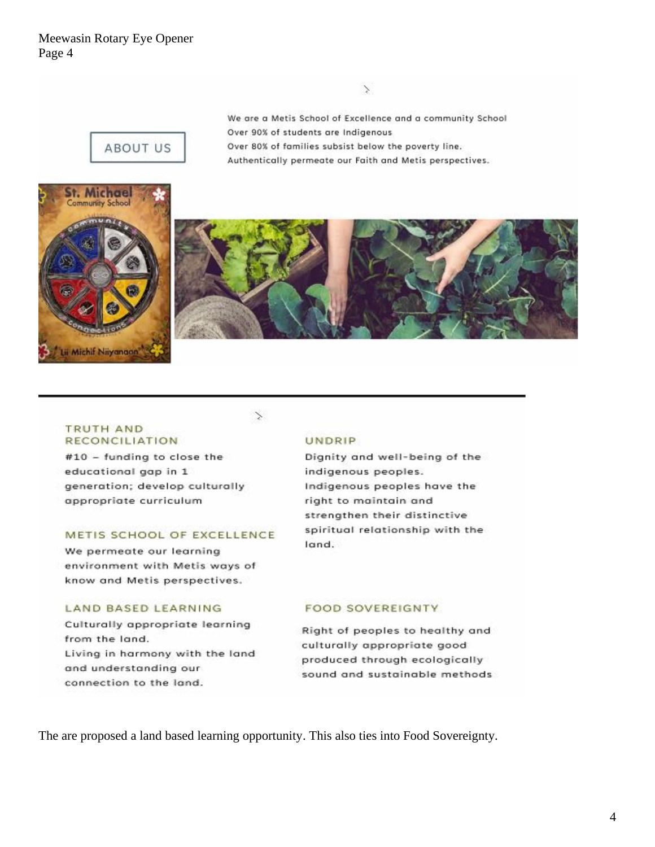We are a Metis School of Excellence and a community School Over 90% of students are Indigenous Over 80% of families subsist below the poverty line. Authentically permeate our Faith and Metis perspectives.







#### **TRUTH AND RECONCILIATION**

#10 - funding to close the educational gap in 1 generation; develop culturally appropriate curriculum

#### METIS SCHOOL OF EXCELLENCE

We permeate our learning environment with Metis ways of know and Metis perspectives.

#### **LAND BASED LEARNING**

Culturally appropriate learning from the land. Living in harmony with the land and understanding our connection to the land.

#### **UNDRIP**

Dignity and well-being of the indigenous peoples. Indigenous peoples have the right to maintain and strengthen their distinctive spiritual relationship with the land.

#### **FOOD SOVEREIGNTY**

Right of peoples to healthy and culturally appropriate good produced through ecologically sound and sustainable methods

The are proposed a land based learning opportunity. This also ties into Food Sovereignty.

Ź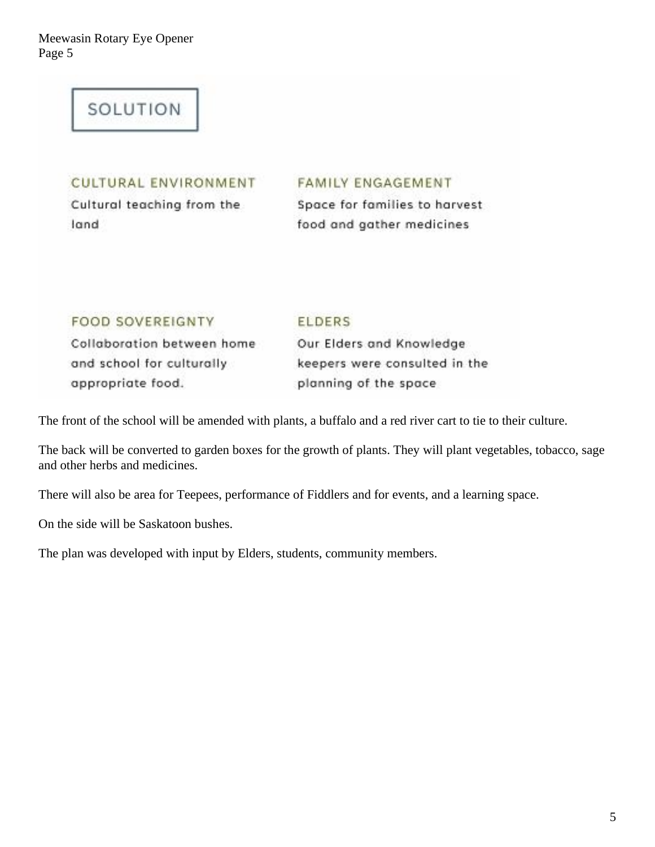# SOLUTION

## **CULTURAL ENVIRONMENT**

Cultural teaching from the land

### **FAMILY ENGAGEMENT**

Space for families to harvest food and gather medicines

## **FOOD SOVEREIGNTY**

#### **ELDERS**

Collaboration between home and school for culturally appropriate food.

Our Elders and Knowledge keepers were consulted in the planning of the space

The front of the school will be amended with plants, a buffalo and a red river cart to tie to their culture.

The back will be converted to garden boxes for the growth of plants. They will plant vegetables, tobacco, sage and other herbs and medicines.

There will also be area for Teepees, performance of Fiddlers and for events, and a learning space.

On the side will be Saskatoon bushes.

The plan was developed with input by Elders, students, community members.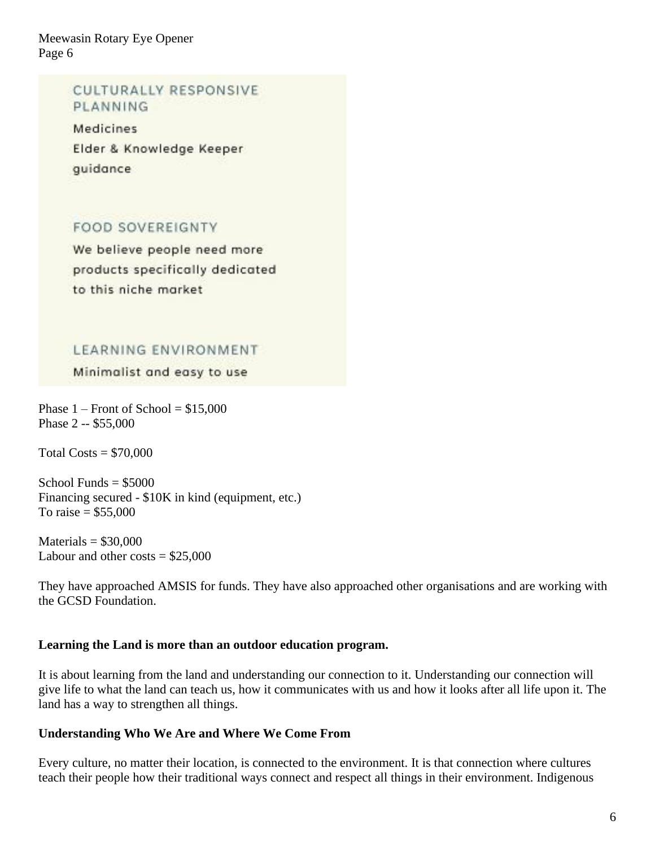## **CULTURALLY RESPONSIVE** PLANNING

**Medicines** Elder & Knowledge Keeper quidance

## **FOOD SOVEREIGNTY**

We believe people need more products specifically dedicated to this niche market

## LEARNING ENVIRONMENT

Minimalist and easy to use

Phase  $1$  – Front of School = \$15,000 Phase 2 -- \$55,000

Total  $\text{Costs} = $70,000$ 

School Funds  $= $5000$ Financing secured - \$10K in kind (equipment, etc.) To raise =  $$55,000$ 

 $Materials = $30,000$ Labour and other costs  $= $25,000$ 

They have approached AMSIS for funds. They have also approached other organisations and are working with the GCSD Foundation.

### **Learning the Land is more than an outdoor education program.**

It is about learning from the land and understanding our connection to it. Understanding our connection will give life to what the land can teach us, how it communicates with us and how it looks after all life upon it. The land has a way to strengthen all things.

### **Understanding Who We Are and Where We Come From**

Every culture, no matter their location, is connected to the environment. It is that connection where cultures teach their people how their traditional ways connect and respect all things in their environment. Indigenous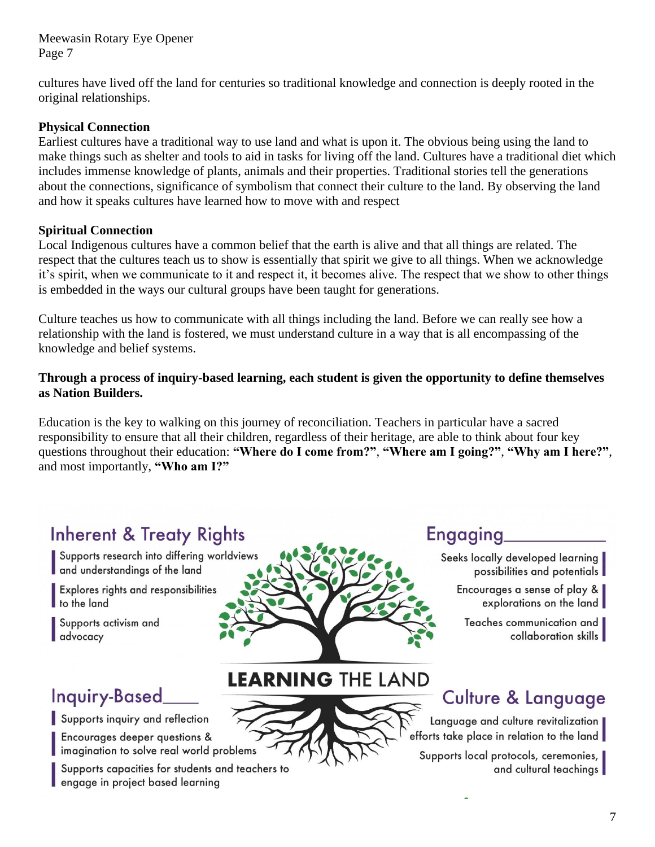cultures have lived off the land for centuries so traditional knowledge and connection is deeply rooted in the original relationships.

#### **Physical Connection**

Earliest cultures have a traditional way to use land and what is upon it. The obvious being using the land to make things such as shelter and tools to aid in tasks for living off the land. Cultures have a traditional diet which includes immense knowledge of plants, animals and their properties. Traditional stories tell the generations about the connections, significance of symbolism that connect their culture to the land. By observing the land and how it speaks cultures have learned how to move with and respect

#### **Spiritual Connection**

Local Indigenous cultures have a common belief that the earth is alive and that all things are related. The respect that the cultures teach us to show is essentially that spirit we give to all things. When we acknowledge it's spirit, when we communicate to it and respect it, it becomes alive. The respect that we show to other things is embedded in the ways our cultural groups have been taught for generations.

Culture teaches us how to communicate with all things including the land. Before we can really see how a relationship with the land is fostered, we must understand culture in a way that is all encompassing of the knowledge and belief systems.

#### **Through a process of inquiry-based learning, each student is given the opportunity to define themselves as Nation Builders.**

Education is the key to walking on this journey of reconciliation. Teachers in particular have a sacred responsibility to ensure that all their children, regardless of their heritage, are able to think about four key questions throughout their education: **"Where do I come from?"**, **"Where am I going?"**, **"Why am I here?"**, and most importantly, **"Who am I?"**

**LEARNING THE LAND** 

# **Inherent & Treaty Rights**

Supports research into differing worldviews and understandings of the land

Explores rights and responsibilities to the land

Supports activism and advocacy

# Inquiry-Based\_

Supports inquiry and reflection

Encourages deeper questions & imagination to solve real world problems

Supports capacities for students and teachers to engage in project based learning

# **Engaging**

Seeks locally developed learning possibilities and potentials

Encourages a sense of play & explorations on the land

Teaches communication and collaboration skills

# **Culture & Language**

Language and culture revitalization efforts take place in relation to the land

Supports local protocols, ceremonies, and cultural teachings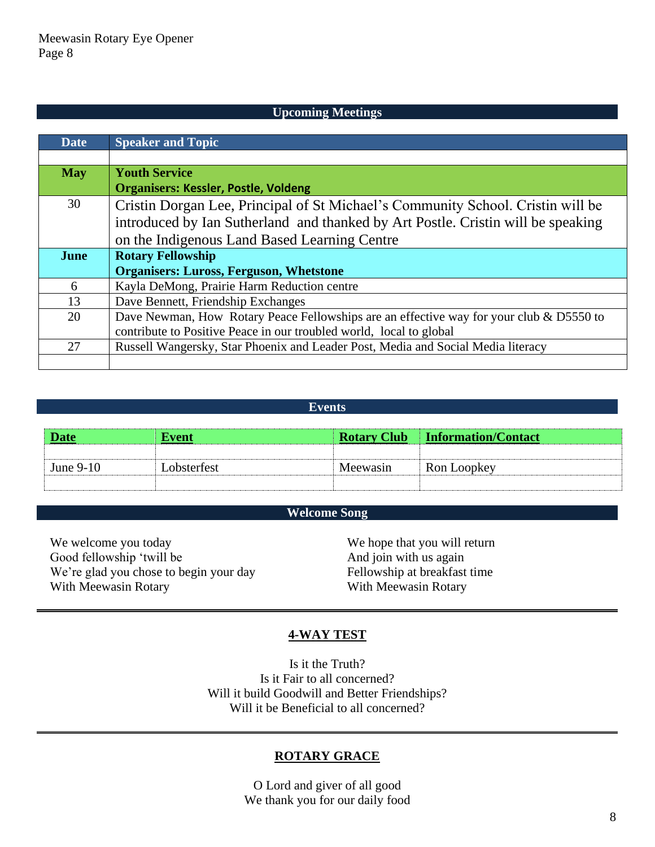#### **Upcoming Meetings**

| <b>Date</b> | <b>Speaker and Topic</b>                                                                   |  |  |
|-------------|--------------------------------------------------------------------------------------------|--|--|
|             |                                                                                            |  |  |
| <b>May</b>  | <b>Youth Service</b>                                                                       |  |  |
|             | <b>Organisers: Kessler, Postle, Voldeng</b>                                                |  |  |
| 30          | Cristin Dorgan Lee, Principal of St Michael's Community School. Cristin will be            |  |  |
|             | introduced by Ian Sutherland and thanked by Art Postle. Cristin will be speaking           |  |  |
|             | on the Indigenous Land Based Learning Centre                                               |  |  |
| June        | <b>Rotary Fellowship</b>                                                                   |  |  |
|             | <b>Organisers: Luross, Ferguson, Whetstone</b>                                             |  |  |
| 6           | Kayla DeMong, Prairie Harm Reduction centre                                                |  |  |
| 13          | Dave Bennett, Friendship Exchanges                                                         |  |  |
| 20          | Dave Newman, How Rotary Peace Fellowships are an effective way for your club $\&$ D5550 to |  |  |
|             | contribute to Positive Peace in our troubled world, local to global                        |  |  |
| 27          | Russell Wangersky, Star Phoenix and Leader Post, Media and Social Media literacy           |  |  |
|             |                                                                                            |  |  |

#### **Events**

| <b>Date</b> | Event       |          | <b>Rotary Club</b> Information/Contact |
|-------------|-------------|----------|----------------------------------------|
|             |             |          |                                        |
| June $9-10$ | Lobsterfest | Meewasin | Ron Loopkey                            |
|             |             |          |                                        |

#### **Welcome Song**

We welcome you today Good fellowship 'twill be We're glad you chose to begin your day With Meewasin Rotary

We hope that you will return And join with us again Fellowship at breakfast time With Meewasin Rotary

#### **4-WAY TEST**

Is it the Truth? Is it Fair to all concerned? Will it build Goodwill and Better Friendships? Will it be Beneficial to all concerned?

#### **ROTARY GRACE**

O Lord and giver of all good We thank you for our daily food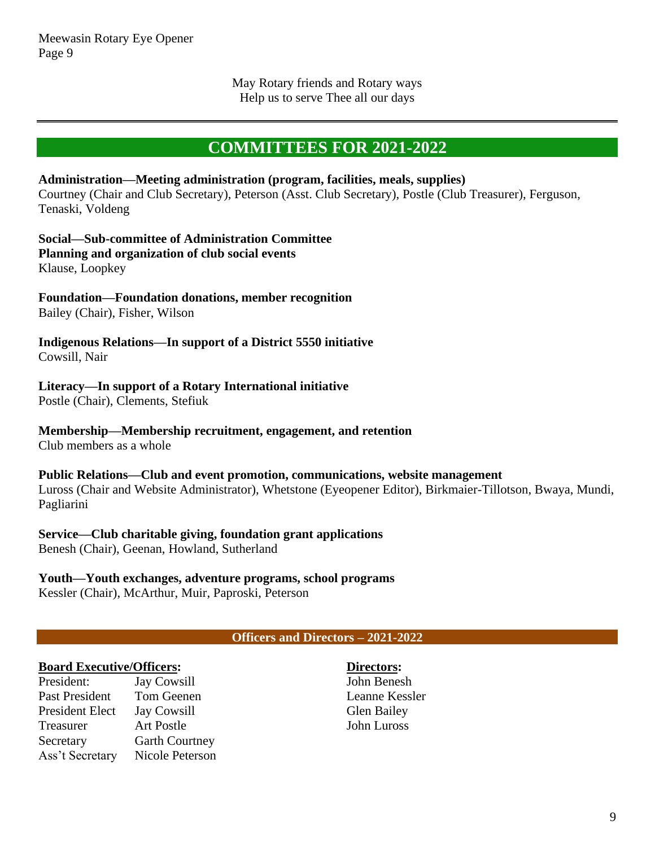May Rotary friends and Rotary ways Help us to serve Thee all our days

# **COMMITTEES FOR 2021-2022**

#### **Administration—Meeting administration (program, facilities, meals, supplies)**

Courtney (Chair and Club Secretary), Peterson (Asst. Club Secretary), Postle (Club Treasurer), Ferguson, Tenaski, Voldeng

**Social—Sub-committee of Administration Committee Planning and organization of club social events** Klause, Loopkey

# **Foundation—Foundation donations, member recognition**

Bailey (Chair), Fisher, Wilson

#### **Indigenous Relations—In support of a District 5550 initiative** Cowsill, Nair

#### **Literacy—In support of a Rotary International initiative**

Postle (Chair), Clements, Stefiuk

#### **Membership—Membership recruitment, engagement, and retention**

Club members as a whole

#### **Public Relations—Club and event promotion, communications, website management**

Luross (Chair and Website Administrator), Whetstone (Eyeopener Editor), Birkmaier-Tillotson, Bwaya, Mundi, Pagliarini

#### **Service—Club charitable giving, foundation grant applications**

Benesh (Chair), Geenan, Howland, Sutherland

#### **Youth—Youth exchanges, adventure programs, school programs**

Kessler (Chair), McArthur, Muir, Paproski, Peterson

#### **Officers and Directors – 2021-2022**

#### **Board Executive/Officers:**

President: Jay Cowsill Past President Tom Geenen President Elect Jay Cowsill Treasurer Art Postle Secretary Garth Courtney Ass't Secretary Nicole Peterson

**Directors:** John Benesh Leanne Kessler Glen Bailey John Luross